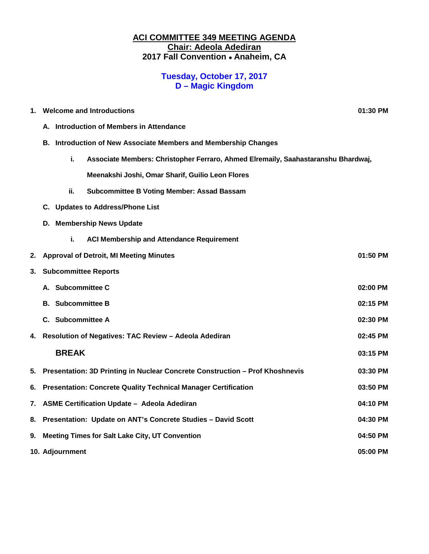### **ACI COMMITTEE 349 MEETING AGENDA Chair: Adeola Adediran 2017 Fall Convention** • **Anaheim, CA**

## **Tuesday, October 17, 2017 D – Magic Kingdom**

| 1. | <b>Welcome and Introductions</b>                                |                                                                                   |                                                                                   | 01:30 PM |
|----|-----------------------------------------------------------------|-----------------------------------------------------------------------------------|-----------------------------------------------------------------------------------|----------|
|    | Introduction of Members in Attendance<br>А.                     |                                                                                   |                                                                                   |          |
|    | B. Introduction of New Associate Members and Membership Changes |                                                                                   |                                                                                   |          |
|    |                                                                 | i.                                                                                | Associate Members: Christopher Ferraro, Ahmed Elremaily, Saahastaranshu Bhardwaj, |          |
|    |                                                                 |                                                                                   | Meenakshi Joshi, Omar Sharif, Guilio Leon Flores                                  |          |
|    |                                                                 | ii.                                                                               | <b>Subcommittee B Voting Member: Assad Bassam</b>                                 |          |
|    |                                                                 | C. Updates to Address/Phone List                                                  |                                                                                   |          |
|    | D. Membership News Update                                       |                                                                                   |                                                                                   |          |
|    |                                                                 | i.                                                                                | <b>ACI Membership and Attendance Requirement</b>                                  |          |
| 2. |                                                                 |                                                                                   | <b>Approval of Detroit, MI Meeting Minutes</b>                                    | 01:50 PM |
| 3. | <b>Subcommittee Reports</b>                                     |                                                                                   |                                                                                   |          |
|    | А.                                                              | <b>Subcommittee C</b>                                                             |                                                                                   | 02:00 PM |
|    |                                                                 | <b>B.</b> Subcommittee B                                                          |                                                                                   | 02:15 PM |
|    |                                                                 | C. Subcommittee A                                                                 |                                                                                   | 02:30 PM |
| 4. |                                                                 |                                                                                   | Resolution of Negatives: TAC Review - Adeola Adediran                             | 02:45 PM |
|    |                                                                 | <b>BREAK</b>                                                                      |                                                                                   | 03:15 PM |
| 5. |                                                                 |                                                                                   | Presentation: 3D Printing in Nuclear Concrete Construction - Prof Khoshnevis      | 03:30 PM |
| 6. |                                                                 | <b>Presentation: Concrete Quality Technical Manager Certification</b><br>03:50 PM |                                                                                   |          |
| 7. |                                                                 | <b>ASME Certification Update - Adeola Adediran</b><br>04:10 PM                    |                                                                                   |          |
| 8. |                                                                 | Presentation: Update on ANT's Concrete Studies - David Scott<br>04:30 PM          |                                                                                   |          |
| 9. |                                                                 | <b>Meeting Times for Salt Lake City, UT Convention</b><br>04:50 PM                |                                                                                   |          |
|    | 10. Adjournment<br>05:00 PM                                     |                                                                                   |                                                                                   |          |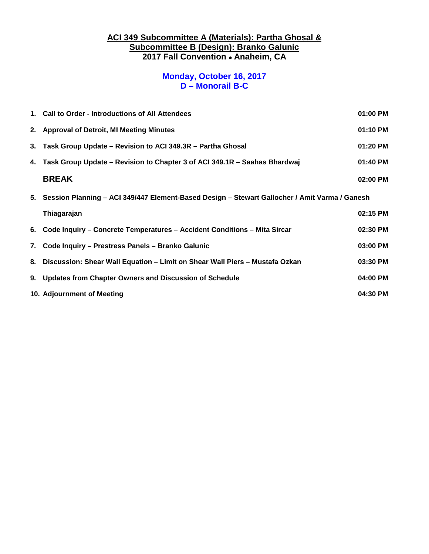### **ACI 349 Subcommittee A (Materials): Partha Ghosal & Subcommittee B (Design): Branko Galunic 2017 Fall Convention** • **Anaheim, CA**

### **Monday, October 16, 2017 D – Monorail B-C**

| 1. Call to Order - Introductions of All Attendees<br>01:00 PM                                    |          |
|--------------------------------------------------------------------------------------------------|----------|
| 2. Approval of Detroit, MI Meeting Minutes                                                       |          |
| 3. Task Group Update - Revision to ACI 349.3R - Partha Ghosal                                    |          |
| 4. Task Group Update – Revision to Chapter 3 of ACI 349.1R – Saahas Bhardwaj                     | 01:40 PM |
| <b>BREAK</b>                                                                                     | 02:00 PM |
| 5. Session Planning – ACI 349/447 Element-Based Design – Stewart Gallocher / Amit Varma / Ganesh |          |
| Thiagarajan                                                                                      | 02:15 PM |
| 6. Code Inquiry - Concrete Temperatures - Accident Conditions - Mita Sircar                      | 02:30 PM |
| 7. Code Inquiry - Prestress Panels - Branko Galunic                                              | 03:00 PM |
| 8. Discussion: Shear Wall Equation - Limit on Shear Wall Piers - Mustafa Ozkan                   | 03:30 PM |
| 9. Updates from Chapter Owners and Discussion of Schedule                                        | 04:00 PM |
| 10. Adjournment of Meeting                                                                       | 04:30 PM |